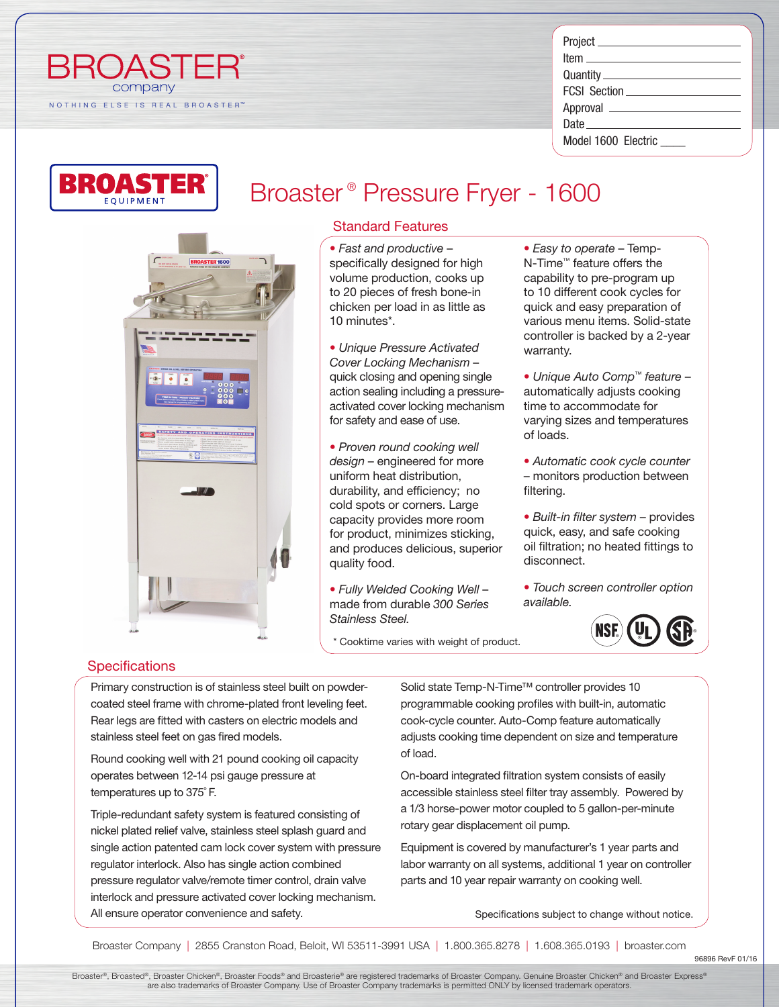| ⊢       |      | HJ     |     |  |  |  |  |  |  |  |
|---------|------|--------|-----|--|--|--|--|--|--|--|
| company |      |        |     |  |  |  |  |  |  |  |
|         | ELSE | IS REA | в н |  |  |  |  |  |  |  |

| FCSI Section ______________________ |  |  |  |  |
|-------------------------------------|--|--|--|--|
|                                     |  |  |  |  |
|                                     |  |  |  |  |
| Model 1600 Electric                 |  |  |  |  |



# Broaster ® Pressure Fryer - 1600

# **MARETY AND OPERATING INSTRUCTIONS**

### Standard Features

*• Fast and productive* – specifically designed for high volume production, cooks up to 20 pieces of fresh bone-in chicken per load in as little as 10 minutes\*.

*• Unique Pressure Activated Cover Locking Mechanism* – quick closing and opening single action sealing including a pressureactivated cover locking mechanism for safety and ease of use.

*• Proven round cooking well design* – engineered for more uniform heat distribution, durability, and efficiency; no cold spots or corners. Large capacity provides more room for product, minimizes sticking, and produces delicious, superior quality food.

*• Fully Welded Cooking Well* – made from durable *300 Series Stainless Steel.*

Cooktime varies with weight of product.

*• Easy to operate* – Temp-N-Time™ feature offers the capability to pre-program up to 10 different cook cycles for quick and easy preparation of various menu items. Solid-state controller is backed by a 2-year warranty.

*• Unique Auto Comp™ feature* – automatically adjusts cooking time to accommodate for varying sizes and temperatures of loads.

*• Automatic cook cycle counter* – monitors production between filtering.

*• Built-in filter system* – provides quick, easy, and safe cooking oil filtration; no heated fittings to disconnect.

*• Touch screen controller option available.*



### **Specifications**

Primary construction is of stainless steel built on powdercoated steel frame with chrome-plated front leveling feet. Rear legs are fitted with casters on electric models and stainless steel feet on gas fired models.

Round cooking well with 21 pound cooking oil capacity operates between 12-14 psi gauge pressure at temperatures up to 375˚ F.

Triple-redundant safety system is featured consisting of nickel plated relief valve, stainless steel splash guard and single action patented cam lock cover system with pressure regulator interlock. Also has single action combined pressure regulator valve/remote timer control, drain valve interlock and pressure activated cover locking mechanism. All ensure operator convenience and safety.

Solid state Temp-N-Time™ controller provides 10 programmable cooking profiles with built-in, automatic cook-cycle counter. Auto-Comp feature automatically adjusts cooking time dependent on size and temperature of load.

On-board integrated filtration system consists of easily accessible stainless steel filter tray assembly. Powered by a 1/3 horse-power motor coupled to 5 gallon-per-minute rotary gear displacement oil pump.

Equipment is covered by manufacturer's 1 year parts and labor warranty on all systems, additional 1 year on controller parts and 10 year repair warranty on cooking well.

Specifications subject to change without notice.

Broaster Company | 2855 Cranston Road, Beloit, WI 53511-3991 USA | 1.800.365.8278 | 1.608.365.0193 | broaster.com

96896 RevF 01/16

Broaster®, Broasted®, Broaster Chicken®, Broaster Foods® and Broasterie® are registered trademarks of Broaster Company. Genuine Broaster Chicken® and Broaster Express® are also trademarks of Broaster Company. Use of Broaster Company trademarks is permitted ONLY by licensed trademark operators.